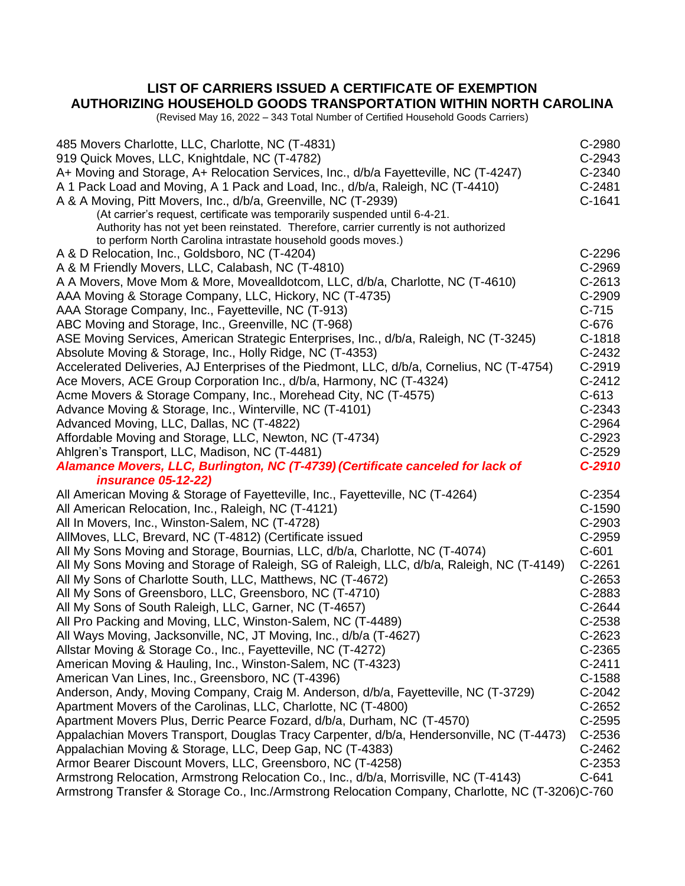## **LIST OF CARRIERS ISSUED A CERTIFICATE OF EXEMPTION AUTHORIZING HOUSEHOLD GOODS TRANSPORTATION WITHIN NORTH CAROLINA**

(Revised May 16, 2022 – 343 Total Number of Certified Household Goods Carriers)

| 485 Movers Charlotte, LLC, Charlotte, NC (T-4831)                                                | C-2980   |
|--------------------------------------------------------------------------------------------------|----------|
| 919 Quick Moves, LLC, Knightdale, NC (T-4782)                                                    | C-2943   |
| A+ Moving and Storage, A+ Relocation Services, Inc., d/b/a Fayetteville, NC (T-4247)             | C-2340   |
| A 1 Pack Load and Moving, A 1 Pack and Load, Inc., d/b/a, Raleigh, NC (T-4410)                   | $C-2481$ |
| A & A Moving, Pitt Movers, Inc., d/b/a, Greenville, NC (T-2939)                                  | $C-1641$ |
| (At carrier's request, certificate was temporarily suspended until 6-4-21.                       |          |
| Authority has not yet been reinstated. Therefore, carrier currently is not authorized            |          |
| to perform North Carolina intrastate household goods moves.)                                     |          |
| A & D Relocation, Inc., Goldsboro, NC (T-4204)                                                   | C-2296   |
| A & M Friendly Movers, LLC, Calabash, NC (T-4810)                                                | C-2969   |
| A A Movers, Move Mom & More, Movealldotcom, LLC, d/b/a, Charlotte, NC (T-4610)                   | $C-2613$ |
| AAA Moving & Storage Company, LLC, Hickory, NC (T-4735)                                          | $C-2909$ |
| AAA Storage Company, Inc., Fayetteville, NC (T-913)                                              | $C-715$  |
| ABC Moving and Storage, Inc., Greenville, NC (T-968)                                             | C-676    |
| ASE Moving Services, American Strategic Enterprises, Inc., d/b/a, Raleigh, NC (T-3245)           | C-1818   |
| Absolute Moving & Storage, Inc., Holly Ridge, NC (T-4353)                                        | $C-2432$ |
| Accelerated Deliveries, AJ Enterprises of the Piedmont, LLC, d/b/a, Cornelius, NC (T-4754)       | C-2919   |
| Ace Movers, ACE Group Corporation Inc., d/b/a, Harmony, NC (T-4324)                              | $C-2412$ |
| Acme Movers & Storage Company, Inc., Morehead City, NC (T-4575)                                  | $C-613$  |
| Advance Moving & Storage, Inc., Winterville, NC (T-4101)                                         | C-2343   |
| Advanced Moving, LLC, Dallas, NC (T-4822)                                                        | C-2964   |
| Affordable Moving and Storage, LLC, Newton, NC (T-4734)                                          | C-2923   |
| Ahlgren's Transport, LLC, Madison, NC (T-4481)                                                   | $C-2529$ |
| Alamance Movers, LLC, Burlington, NC (T-4739) (Certificate canceled for lack of                  | $C-2910$ |
| <i>insurance 05-12-22)</i>                                                                       |          |
| All American Moving & Storage of Fayetteville, Inc., Fayetteville, NC (T-4264)                   | C-2354   |
| All American Relocation, Inc., Raleigh, NC (T-4121)                                              | $C-1590$ |
| All In Movers, Inc., Winston-Salem, NC (T-4728)                                                  | C-2903   |
| AllMoves, LLC, Brevard, NC (T-4812) (Certificate issued                                          | C-2959   |
| All My Sons Moving and Storage, Bournias, LLC, d/b/a, Charlotte, NC (T-4074)                     | $C-601$  |
| All My Sons Moving and Storage of Raleigh, SG of Raleigh, LLC, d/b/a, Raleigh, NC (T-4149)       | $C-2261$ |
| All My Sons of Charlotte South, LLC, Matthews, NC (T-4672)                                       | C-2653   |
| All My Sons of Greensboro, LLC, Greensboro, NC (T-4710)                                          | C-2883   |
| All My Sons of South Raleigh, LLC, Garner, NC (T-4657)                                           | C-2644   |
| All Pro Packing and Moving, LLC, Winston-Salem, NC (T-4489)                                      | C-2538   |
| All Ways Moving, Jacksonville, NC, JT Moving, Inc., d/b/a (T-4627)                               | C-2623   |
| Allstar Moving & Storage Co., Inc., Fayetteville, NC (T-4272)                                    | C-2365   |
| American Moving & Hauling, Inc., Winston-Salem, NC (T-4323)                                      | $C-2411$ |
| American Van Lines, Inc., Greensboro, NC (T-4396)                                                | $C-1588$ |
| Anderson, Andy, Moving Company, Craig M. Anderson, d/b/a, Fayetteville, NC (T-3729)              | C-2042   |
| Apartment Movers of the Carolinas, LLC, Charlotte, NC (T-4800)                                   | C-2652   |
| Apartment Movers Plus, Derric Pearce Fozard, d/b/a, Durham, NC (T-4570)                          | $C-2595$ |
| Appalachian Movers Transport, Douglas Tracy Carpenter, d/b/a, Hendersonville, NC (T-4473)        | $C-2536$ |
| Appalachian Moving & Storage, LLC, Deep Gap, NC (T-4383)                                         | C-2462   |
| Armor Bearer Discount Movers, LLC, Greensboro, NC (T-4258)                                       | $C-2353$ |
| Armstrong Relocation, Armstrong Relocation Co., Inc., d/b/a, Morrisville, NC (T-4143)            | $C-641$  |
| Armstrong Transfer & Storage Co., Inc./Armstrong Relocation Company, Charlotte, NC (T-3206)C-760 |          |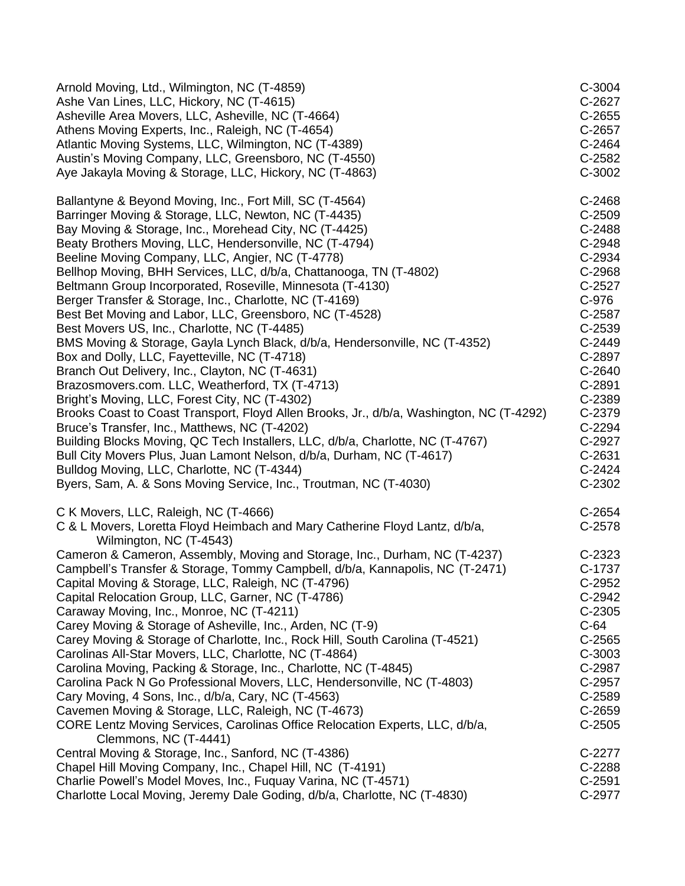| Arnold Moving, Ltd., Wilmington, NC (T-4859)                                                                                                    | C-3004             |
|-------------------------------------------------------------------------------------------------------------------------------------------------|--------------------|
| Ashe Van Lines, LLC, Hickory, NC (T-4615)                                                                                                       | C-2627             |
| Asheville Area Movers, LLC, Asheville, NC (T-4664)                                                                                              | $C-2655$           |
| Athens Moving Experts, Inc., Raleigh, NC (T-4654)                                                                                               | C-2657             |
| Atlantic Moving Systems, LLC, Wilmington, NC (T-4389)                                                                                           | C-2464             |
| Austin's Moving Company, LLC, Greensboro, NC (T-4550)                                                                                           | C-2582             |
| Aye Jakayla Moving & Storage, LLC, Hickory, NC (T-4863)                                                                                         | C-3002             |
|                                                                                                                                                 |                    |
| Ballantyne & Beyond Moving, Inc., Fort Mill, SC (T-4564)                                                                                        | $C-2468$           |
| Barringer Moving & Storage, LLC, Newton, NC (T-4435)                                                                                            | C-2509             |
| Bay Moving & Storage, Inc., Morehead City, NC (T-4425)                                                                                          | C-2488             |
| Beaty Brothers Moving, LLC, Hendersonville, NC (T-4794)                                                                                         | C-2948             |
| Beeline Moving Company, LLC, Angier, NC (T-4778)                                                                                                | C-2934             |
| Bellhop Moving, BHH Services, LLC, d/b/a, Chattanooga, TN (T-4802)                                                                              | C-2968             |
| Beltmann Group Incorporated, Roseville, Minnesota (T-4130)                                                                                      | $C-2527$           |
| Berger Transfer & Storage, Inc., Charlotte, NC (T-4169)                                                                                         | C-976              |
| Best Bet Moving and Labor, LLC, Greensboro, NC (T-4528)                                                                                         | C-2587             |
| Best Movers US, Inc., Charlotte, NC (T-4485)                                                                                                    | C-2539             |
| BMS Moving & Storage, Gayla Lynch Black, d/b/a, Hendersonville, NC (T-4352)                                                                     | $C-2449$           |
| Box and Dolly, LLC, Fayetteville, NC (T-4718)                                                                                                   | C-2897             |
| Branch Out Delivery, Inc., Clayton, NC (T-4631)                                                                                                 | C-2640             |
| Brazosmovers.com. LLC, Weatherford, TX (T-4713)                                                                                                 | C-2891             |
| Bright's Moving, LLC, Forest City, NC (T-4302)                                                                                                  | C-2389             |
| Brooks Coast to Coast Transport, Floyd Allen Brooks, Jr., d/b/a, Washington, NC (T-4292)                                                        | C-2379             |
| Bruce's Transfer, Inc., Matthews, NC (T-4202)                                                                                                   | C-2294             |
| Building Blocks Moving, QC Tech Installers, LLC, d/b/a, Charlotte, NC (T-4767)                                                                  | C-2927             |
| Bull City Movers Plus, Juan Lamont Nelson, d/b/a, Durham, NC (T-4617)                                                                           | C-2631             |
| Bulldog Moving, LLC, Charlotte, NC (T-4344)                                                                                                     | $C-2424$           |
| Byers, Sam, A. & Sons Moving Service, Inc., Troutman, NC (T-4030)                                                                               | C-2302             |
| C K Movers, LLC, Raleigh, NC (T-4666)<br>C & L Movers, Loretta Floyd Heimbach and Mary Catherine Floyd Lantz, d/b/a,<br>Wilmington, NC (T-4543) | $C-2654$<br>C-2578 |
| Cameron & Cameron, Assembly, Moving and Storage, Inc., Durham, NC (T-4237)                                                                      | C-2323             |
| Campbell's Transfer & Storage, Tommy Campbell, d/b/a, Kannapolis, NC (T-2471)                                                                   | C-1737             |
| Capital Moving & Storage, LLC, Raleigh, NC (T-4796)                                                                                             | C-2952             |
| Capital Relocation Group, LLC, Garner, NC (T-4786)                                                                                              | C-2942             |
| Caraway Moving, Inc., Monroe, NC (T-4211)                                                                                                       | $C-2305$           |
| Carey Moving & Storage of Asheville, Inc., Arden, NC (T-9)                                                                                      | $C-64$             |
| Carey Moving & Storage of Charlotte, Inc., Rock Hill, South Carolina (T-4521)                                                                   | $C-2565$           |
| Carolinas All-Star Movers, LLC, Charlotte, NC (T-4864)                                                                                          | C-3003             |
| Carolina Moving, Packing & Storage, Inc., Charlotte, NC (T-4845)                                                                                | C-2987             |
| Carolina Pack N Go Professional Movers, LLC, Hendersonville, NC (T-4803)                                                                        | C-2957             |
| Cary Moving, 4 Sons, Inc., d/b/a, Cary, NC (T-4563)                                                                                             | C-2589             |
| Cavemen Moving & Storage, LLC, Raleigh, NC (T-4673)                                                                                             | C-2659             |
| CORE Lentz Moving Services, Carolinas Office Relocation Experts, LLC, d/b/a,                                                                    | $C-2505$           |
| Clemmons, NC (T-4441)                                                                                                                           |                    |
| Central Moving & Storage, Inc., Sanford, NC (T-4386)                                                                                            | C-2277             |
| Chapel Hill Moving Company, Inc., Chapel Hill, NC (T-4191)                                                                                      | C-2288             |
| Charlie Powell's Model Moves, Inc., Fuquay Varina, NC (T-4571)                                                                                  | C-2591             |
| Charlotte Local Moving, Jeremy Dale Goding, d/b/a, Charlotte, NC (T-4830)                                                                       | C-2977             |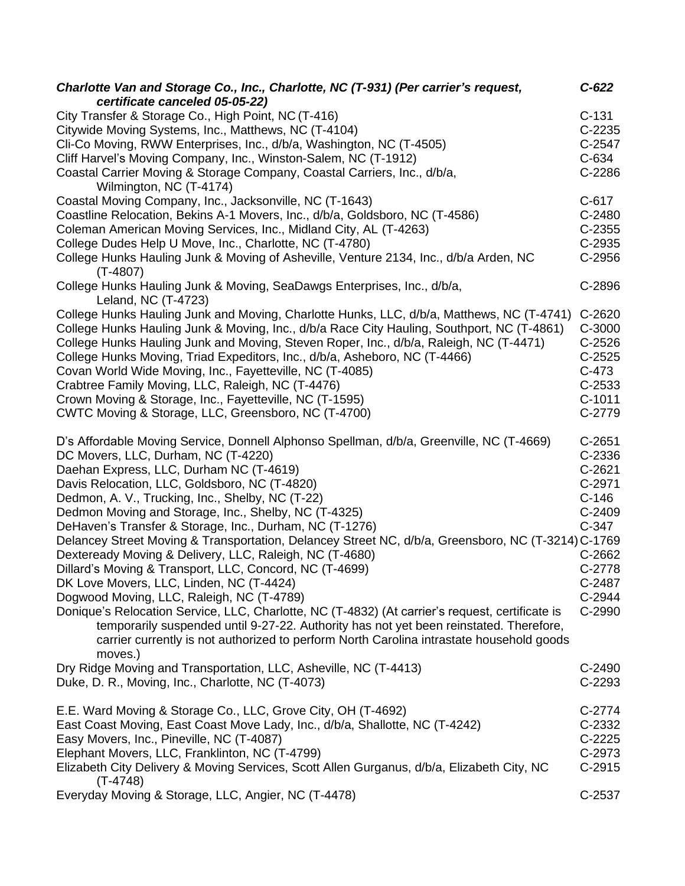| Charlotte Van and Storage Co., Inc., Charlotte, NC (T-931) (Per carrier's request,<br>certificate canceled 05-05-22) | $C-622$  |
|----------------------------------------------------------------------------------------------------------------------|----------|
| City Transfer & Storage Co., High Point, NC (T-416)                                                                  | $C-131$  |
| Citywide Moving Systems, Inc., Matthews, NC (T-4104)                                                                 | $C-2235$ |
| Cli-Co Moving, RWW Enterprises, Inc., d/b/a, Washington, NC (T-4505)                                                 | C-2547   |
| Cliff Harvel's Moving Company, Inc., Winston-Salem, NC (T-1912)                                                      | $C-634$  |
|                                                                                                                      | C-2286   |
| Coastal Carrier Moving & Storage Company, Coastal Carriers, Inc., d/b/a,<br>Wilmington, NC (T-4174)                  |          |
| Coastal Moving Company, Inc., Jacksonville, NC (T-1643)                                                              | $C-617$  |
| Coastline Relocation, Bekins A-1 Movers, Inc., d/b/a, Goldsboro, NC (T-4586)                                         | C-2480   |
| Coleman American Moving Services, Inc., Midland City, AL (T-4263)                                                    | $C-2355$ |
| College Dudes Help U Move, Inc., Charlotte, NC (T-4780)                                                              | C-2935   |
| College Hunks Hauling Junk & Moving of Asheville, Venture 2134, Inc., d/b/a Arden, NC                                | C-2956   |
| $(T-4807)$                                                                                                           |          |
| College Hunks Hauling Junk & Moving, SeaDawgs Enterprises, Inc., d/b/a,                                              | C-2896   |
| Leland, NC (T-4723)                                                                                                  |          |
| College Hunks Hauling Junk and Moving, Charlotte Hunks, LLC, d/b/a, Matthews, NC (T-4741)                            | C-2620   |
| College Hunks Hauling Junk & Moving, Inc., d/b/a Race City Hauling, Southport, NC (T-4861)                           | C-3000   |
| College Hunks Hauling Junk and Moving, Steven Roper, Inc., d/b/a, Raleigh, NC (T-4471)                               | $C-2526$ |
| College Hunks Moving, Triad Expeditors, Inc., d/b/a, Asheboro, NC (T-4466)                                           | $C-2525$ |
| Covan World Wide Moving, Inc., Fayetteville, NC (T-4085)                                                             | $C-473$  |
| Crabtree Family Moving, LLC, Raleigh, NC (T-4476)                                                                    | $C-2533$ |
| Crown Moving & Storage, Inc., Fayetteville, NC (T-1595)                                                              | $C-1011$ |
|                                                                                                                      |          |
| CWTC Moving & Storage, LLC, Greensboro, NC (T-4700)                                                                  | C-2779   |
| D's Affordable Moving Service, Donnell Alphonso Spellman, d/b/a, Greenville, NC (T-4669)                             | $C-2651$ |
| DC Movers, LLC, Durham, NC (T-4220)                                                                                  | C-2336   |
| Daehan Express, LLC, Durham NC (T-4619)                                                                              | $C-2621$ |
| Davis Relocation, LLC, Goldsboro, NC (T-4820)                                                                        | C-2971   |
|                                                                                                                      |          |
| Dedmon, A. V., Trucking, Inc., Shelby, NC (T-22)                                                                     | $C-146$  |
| Dedmon Moving and Storage, Inc., Shelby, NC (T-4325)                                                                 | C-2409   |
| DeHaven's Transfer & Storage, Inc., Durham, NC (T-1276)                                                              | $C-347$  |
| Delancey Street Moving & Transportation, Delancey Street NC, d/b/a, Greensboro, NC (T-3214) C-1769                   |          |
| Dexteready Moving & Delivery, LLC, Raleigh, NC (T-4680)                                                              | C-2662   |
| Dillard's Moving & Transport, LLC, Concord, NC (T-4699)                                                              | C-2778   |
| DK Love Movers, LLC, Linden, NC (T-4424)                                                                             | C-2487   |
| Dogwood Moving, LLC, Raleigh, NC (T-4789)                                                                            | C-2944   |
| Donique's Relocation Service, LLC, Charlotte, NC (T-4832) (At carrier's request, certificate is                      | C-2990   |
| temporarily suspended until 9-27-22. Authority has not yet been reinstated. Therefore,                               |          |
| carrier currently is not authorized to perform North Carolina intrastate household goods                             |          |
|                                                                                                                      |          |
| moves.)                                                                                                              |          |
| Dry Ridge Moving and Transportation, LLC, Asheville, NC (T-4413)                                                     | C-2490   |
| Duke, D. R., Moving, Inc., Charlotte, NC (T-4073)                                                                    | C-2293   |
| E.E. Ward Moving & Storage Co., LLC, Grove City, OH (T-4692)                                                         | $C-2774$ |
| East Coast Moving, East Coast Move Lady, Inc., d/b/a, Shallotte, NC (T-4242)                                         | C-2332   |
| Easy Movers, Inc., Pineville, NC (T-4087)                                                                            | $C-2225$ |
| Elephant Movers, LLC, Franklinton, NC (T-4799)                                                                       | C-2973   |
| Elizabeth City Delivery & Moving Services, Scott Allen Gurganus, d/b/a, Elizabeth City, NC                           | $C-2915$ |
| $(T-4748)$                                                                                                           |          |
| Everyday Moving & Storage, LLC, Angier, NC (T-4478)                                                                  | C-2537   |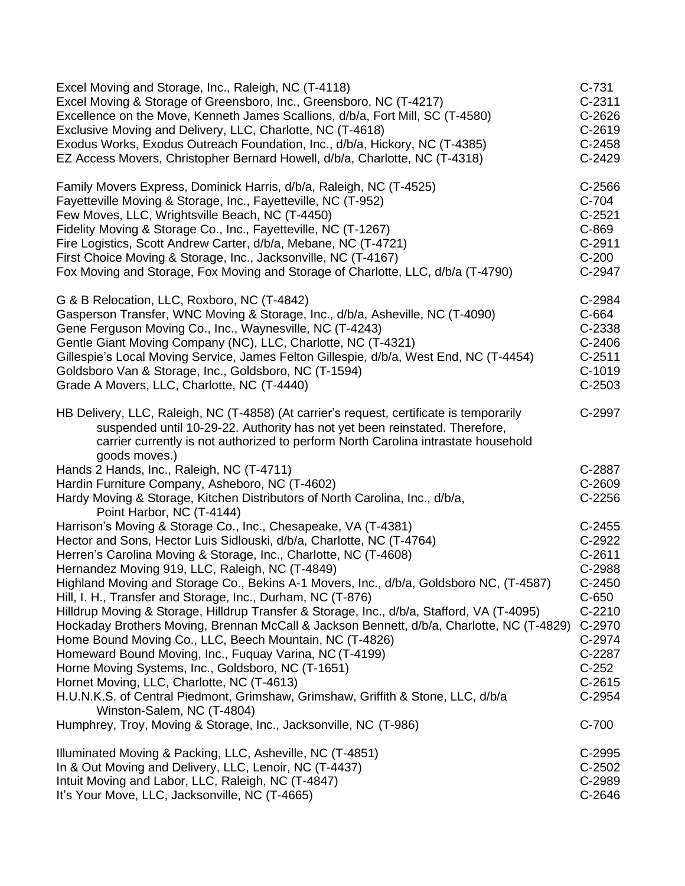| Excel Moving and Storage, Inc., Raleigh, NC (T-4118)                                                                                                                                                                                                                                                                                                                                                                                                                                                                                                                                                                                                                                                                                                                                                                                                                                                                                                                                                                                | $C-731$                                                                                                                                               |
|-------------------------------------------------------------------------------------------------------------------------------------------------------------------------------------------------------------------------------------------------------------------------------------------------------------------------------------------------------------------------------------------------------------------------------------------------------------------------------------------------------------------------------------------------------------------------------------------------------------------------------------------------------------------------------------------------------------------------------------------------------------------------------------------------------------------------------------------------------------------------------------------------------------------------------------------------------------------------------------------------------------------------------------|-------------------------------------------------------------------------------------------------------------------------------------------------------|
| Excel Moving & Storage of Greensboro, Inc., Greensboro, NC (T-4217)                                                                                                                                                                                                                                                                                                                                                                                                                                                                                                                                                                                                                                                                                                                                                                                                                                                                                                                                                                 | $C-2311$                                                                                                                                              |
| Excellence on the Move, Kenneth James Scallions, d/b/a, Fort Mill, SC (T-4580)                                                                                                                                                                                                                                                                                                                                                                                                                                                                                                                                                                                                                                                                                                                                                                                                                                                                                                                                                      | C-2626                                                                                                                                                |
| Exclusive Moving and Delivery, LLC, Charlotte, NC (T-4618)                                                                                                                                                                                                                                                                                                                                                                                                                                                                                                                                                                                                                                                                                                                                                                                                                                                                                                                                                                          | $C-2619$                                                                                                                                              |
| Exodus Works, Exodus Outreach Foundation, Inc., d/b/a, Hickory, NC (T-4385)                                                                                                                                                                                                                                                                                                                                                                                                                                                                                                                                                                                                                                                                                                                                                                                                                                                                                                                                                         | $C-2458$                                                                                                                                              |
| EZ Access Movers, Christopher Bernard Howell, d/b/a, Charlotte, NC (T-4318)                                                                                                                                                                                                                                                                                                                                                                                                                                                                                                                                                                                                                                                                                                                                                                                                                                                                                                                                                         | C-2429                                                                                                                                                |
| Family Movers Express, Dominick Harris, d/b/a, Raleigh, NC (T-4525)                                                                                                                                                                                                                                                                                                                                                                                                                                                                                                                                                                                                                                                                                                                                                                                                                                                                                                                                                                 | C-2566                                                                                                                                                |
| Fayetteville Moving & Storage, Inc., Fayetteville, NC (T-952)                                                                                                                                                                                                                                                                                                                                                                                                                                                                                                                                                                                                                                                                                                                                                                                                                                                                                                                                                                       | C-704                                                                                                                                                 |
| Few Moves, LLC, Wrightsville Beach, NC (T-4450)                                                                                                                                                                                                                                                                                                                                                                                                                                                                                                                                                                                                                                                                                                                                                                                                                                                                                                                                                                                     | $C-2521$                                                                                                                                              |
| Fidelity Moving & Storage Co., Inc., Fayetteville, NC (T-1267)                                                                                                                                                                                                                                                                                                                                                                                                                                                                                                                                                                                                                                                                                                                                                                                                                                                                                                                                                                      | C-869                                                                                                                                                 |
| Fire Logistics, Scott Andrew Carter, d/b/a, Mebane, NC (T-4721)                                                                                                                                                                                                                                                                                                                                                                                                                                                                                                                                                                                                                                                                                                                                                                                                                                                                                                                                                                     | $C-2911$                                                                                                                                              |
| First Choice Moving & Storage, Inc., Jacksonville, NC (T-4167)                                                                                                                                                                                                                                                                                                                                                                                                                                                                                                                                                                                                                                                                                                                                                                                                                                                                                                                                                                      | $C-200$                                                                                                                                               |
| Fox Moving and Storage, Fox Moving and Storage of Charlotte, LLC, d/b/a (T-4790)                                                                                                                                                                                                                                                                                                                                                                                                                                                                                                                                                                                                                                                                                                                                                                                                                                                                                                                                                    | C-2947                                                                                                                                                |
| G & B Relocation, LLC, Roxboro, NC (T-4842)                                                                                                                                                                                                                                                                                                                                                                                                                                                                                                                                                                                                                                                                                                                                                                                                                                                                                                                                                                                         | C-2984                                                                                                                                                |
| Gasperson Transfer, WNC Moving & Storage, Inc., d/b/a, Asheville, NC (T-4090)                                                                                                                                                                                                                                                                                                                                                                                                                                                                                                                                                                                                                                                                                                                                                                                                                                                                                                                                                       | C-664                                                                                                                                                 |
| Gene Ferguson Moving Co., Inc., Waynesville, NC (T-4243)                                                                                                                                                                                                                                                                                                                                                                                                                                                                                                                                                                                                                                                                                                                                                                                                                                                                                                                                                                            | C-2338                                                                                                                                                |
| Gentle Giant Moving Company (NC), LLC, Charlotte, NC (T-4321)                                                                                                                                                                                                                                                                                                                                                                                                                                                                                                                                                                                                                                                                                                                                                                                                                                                                                                                                                                       | $C-2406$                                                                                                                                              |
| Gillespie's Local Moving Service, James Felton Gillespie, d/b/a, West End, NC (T-4454)                                                                                                                                                                                                                                                                                                                                                                                                                                                                                                                                                                                                                                                                                                                                                                                                                                                                                                                                              | $C-2511$                                                                                                                                              |
| Goldsboro Van & Storage, Inc., Goldsboro, NC (T-1594)                                                                                                                                                                                                                                                                                                                                                                                                                                                                                                                                                                                                                                                                                                                                                                                                                                                                                                                                                                               | C-1019                                                                                                                                                |
| Grade A Movers, LLC, Charlotte, NC (T-4440)                                                                                                                                                                                                                                                                                                                                                                                                                                                                                                                                                                                                                                                                                                                                                                                                                                                                                                                                                                                         | $C-2503$                                                                                                                                              |
| HB Delivery, LLC, Raleigh, NC (T-4858) (At carrier's request, certificate is temporarily<br>suspended until 10-29-22. Authority has not yet been reinstated. Therefore,<br>carrier currently is not authorized to perform North Carolina intrastate household<br>goods moves.)                                                                                                                                                                                                                                                                                                                                                                                                                                                                                                                                                                                                                                                                                                                                                      | C-2997                                                                                                                                                |
| Hands 2 Hands, Inc., Raleigh, NC (T-4711)<br>Hardin Furniture Company, Asheboro, NC (T-4602)<br>Hardy Moving & Storage, Kitchen Distributors of North Carolina, Inc., d/b/a,<br>Point Harbor, NC (T-4144)                                                                                                                                                                                                                                                                                                                                                                                                                                                                                                                                                                                                                                                                                                                                                                                                                           | C-2887<br>C-2609<br>$C-2256$                                                                                                                          |
| Harrison's Moving & Storage Co., Inc., Chesapeake, VA (T-4381)<br>Hector and Sons, Hector Luis Sidlouski, d/b/a, Charlotte, NC (T-4764)<br>Herren's Carolina Moving & Storage, Inc., Charlotte, NC (T-4608)<br>Hernandez Moving 919, LLC, Raleigh, NC (T-4849)<br>Highland Moving and Storage Co., Bekins A-1 Movers, Inc., d/b/a, Goldsboro NC, (T-4587)<br>Hill, I. H., Transfer and Storage, Inc., Durham, NC (T-876)<br>Hilldrup Moving & Storage, Hilldrup Transfer & Storage, Inc., d/b/a, Stafford, VA (T-4095)<br>Hockaday Brothers Moving, Brennan McCall & Jackson Bennett, d/b/a, Charlotte, NC (T-4829)<br>Home Bound Moving Co., LLC, Beech Mountain, NC (T-4826)<br>Homeward Bound Moving, Inc., Fuquay Varina, NC (T-4199)<br>Horne Moving Systems, Inc., Goldsboro, NC (T-1651)<br>Hornet Moving, LLC, Charlotte, NC (T-4613)<br>H.U.N.K.S. of Central Piedmont, Grimshaw, Grimshaw, Griffith & Stone, LLC, d/b/a<br>Winston-Salem, NC (T-4804)<br>Humphrey, Troy, Moving & Storage, Inc., Jacksonville, NC (T-986) | $C-2455$<br>C-2922<br>$C-2611$<br>C-2988<br>$C-2450$<br>$C-650$<br>$C-2210$<br>C-2970<br>C-2974<br>C-2287<br>$C-252$<br>$C-2615$<br>C-2954<br>$C-700$ |
| Illuminated Moving & Packing, LLC, Asheville, NC (T-4851)                                                                                                                                                                                                                                                                                                                                                                                                                                                                                                                                                                                                                                                                                                                                                                                                                                                                                                                                                                           | C-2995                                                                                                                                                |
| In & Out Moving and Delivery, LLC, Lenoir, NC (T-4437)                                                                                                                                                                                                                                                                                                                                                                                                                                                                                                                                                                                                                                                                                                                                                                                                                                                                                                                                                                              | $C-2502$                                                                                                                                              |
| Intuit Moving and Labor, LLC, Raleigh, NC (T-4847)                                                                                                                                                                                                                                                                                                                                                                                                                                                                                                                                                                                                                                                                                                                                                                                                                                                                                                                                                                                  | C-2989                                                                                                                                                |
| It's Your Move, LLC, Jacksonville, NC (T-4665)                                                                                                                                                                                                                                                                                                                                                                                                                                                                                                                                                                                                                                                                                                                                                                                                                                                                                                                                                                                      | C-2646                                                                                                                                                |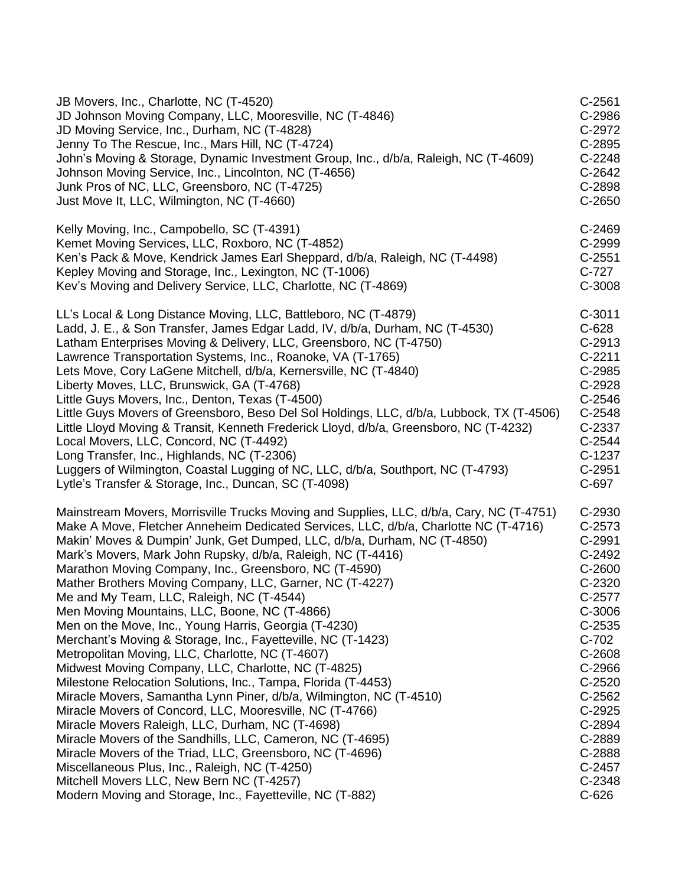| JB Movers, Inc., Charlotte, NC (T-4520)                                                   | $C-2561$ |
|-------------------------------------------------------------------------------------------|----------|
| JD Johnson Moving Company, LLC, Mooresville, NC (T-4846)                                  | C-2986   |
| JD Moving Service, Inc., Durham, NC (T-4828)                                              | C-2972   |
| Jenny To The Rescue, Inc., Mars Hill, NC (T-4724)                                         | C-2895   |
| John's Moving & Storage, Dynamic Investment Group, Inc., d/b/a, Raleigh, NC (T-4609)      | C-2248   |
| Johnson Moving Service, Inc., Lincolnton, NC (T-4656)                                     | C-2642   |
| Junk Pros of NC, LLC, Greensboro, NC (T-4725)                                             | C-2898   |
| Just Move It, LLC, Wilmington, NC (T-4660)                                                | $C-2650$ |
| Kelly Moving, Inc., Campobello, SC (T-4391)                                               | C-2469   |
| Kemet Moving Services, LLC, Roxboro, NC (T-4852)                                          | C-2999   |
| Ken's Pack & Move, Kendrick James Earl Sheppard, d/b/a, Raleigh, NC (T-4498)              | $C-2551$ |
| Kepley Moving and Storage, Inc., Lexington, NC (T-1006)                                   | C-727    |
| Kev's Moving and Delivery Service, LLC, Charlotte, NC (T-4869)                            | C-3008   |
| LL's Local & Long Distance Moving, LLC, Battleboro, NC (T-4879)                           | $C-3011$ |
| Ladd, J. E., & Son Transfer, James Edgar Ladd, IV, d/b/a, Durham, NC (T-4530)             | $C-628$  |
| Latham Enterprises Moving & Delivery, LLC, Greensboro, NC (T-4750)                        | C-2913   |
| Lawrence Transportation Systems, Inc., Roanoke, VA (T-1765)                               | $C-2211$ |
| Lets Move, Cory LaGene Mitchell, d/b/a, Kernersville, NC (T-4840)                         | C-2985   |
| Liberty Moves, LLC, Brunswick, GA (T-4768)                                                | C-2928   |
| Little Guys Movers, Inc., Denton, Texas (T-4500)                                          | $C-2546$ |
| Little Guys Movers of Greensboro, Beso Del Sol Holdings, LLC, d/b/a, Lubbock, TX (T-4506) | C-2548   |
| Little Lloyd Moving & Transit, Kenneth Frederick Lloyd, d/b/a, Greensboro, NC (T-4232)    | C-2337   |
| Local Movers, LLC, Concord, NC (T-4492)                                                   | C-2544   |
| Long Transfer, Inc., Highlands, NC (T-2306)                                               | $C-1237$ |
| Luggers of Wilmington, Coastal Lugging of NC, LLC, d/b/a, Southport, NC (T-4793)          | $C-2951$ |
| Lytle's Transfer & Storage, Inc., Duncan, SC (T-4098)                                     | C-697    |
| Mainstream Movers, Morrisville Trucks Moving and Supplies, LLC, d/b/a, Cary, NC (T-4751)  | C-2930   |
| Make A Move, Fletcher Anneheim Dedicated Services, LLC, d/b/a, Charlotte NC (T-4716)      | C-2573   |
| Makin' Moves & Dumpin' Junk, Get Dumped, LLC, d/b/a, Durham, NC (T-4850)                  | C-2991   |
| Mark's Movers, Mark John Rupsky, d/b/a, Raleigh, NC (T-4416)                              | C-2492   |
| Marathon Moving Company, Inc., Greensboro, NC (T-4590)                                    | C-2600   |
| Mather Brothers Moving Company, LLC, Garner, NC (T-4227)                                  | C-2320   |
| Me and My Team, LLC, Raleigh, NC (T-4544)                                                 | C-2577   |
| Men Moving Mountains, LLC, Boone, NC (T-4866)                                             | C-3006   |
| Men on the Move, Inc., Young Harris, Georgia (T-4230)                                     | $C-2535$ |
| Merchant's Moving & Storage, Inc., Fayetteville, NC (T-1423)                              | $C-702$  |
| Metropolitan Moving, LLC, Charlotte, NC (T-4607)                                          | C-2608   |
| Midwest Moving Company, LLC, Charlotte, NC (T-4825)                                       | C-2966   |
| Milestone Relocation Solutions, Inc., Tampa, Florida (T-4453)                             | $C-2520$ |
| Miracle Movers, Samantha Lynn Piner, d/b/a, Wilmington, NC (T-4510)                       | C-2562   |
| Miracle Movers of Concord, LLC, Mooresville, NC (T-4766)                                  | C-2925   |
| Miracle Movers Raleigh, LLC, Durham, NC (T-4698)                                          | C-2894   |
| Miracle Movers of the Sandhills, LLC, Cameron, NC (T-4695)                                | C-2889   |
| Miracle Movers of the Triad, LLC, Greensboro, NC (T-4696)                                 | C-2888   |
| Miscellaneous Plus, Inc., Raleigh, NC (T-4250)                                            | C-2457   |
| Mitchell Movers LLC, New Bern NC (T-4257)                                                 | C-2348   |
| Modern Moving and Storage, Inc., Fayetteville, NC (T-882)                                 | $C-626$  |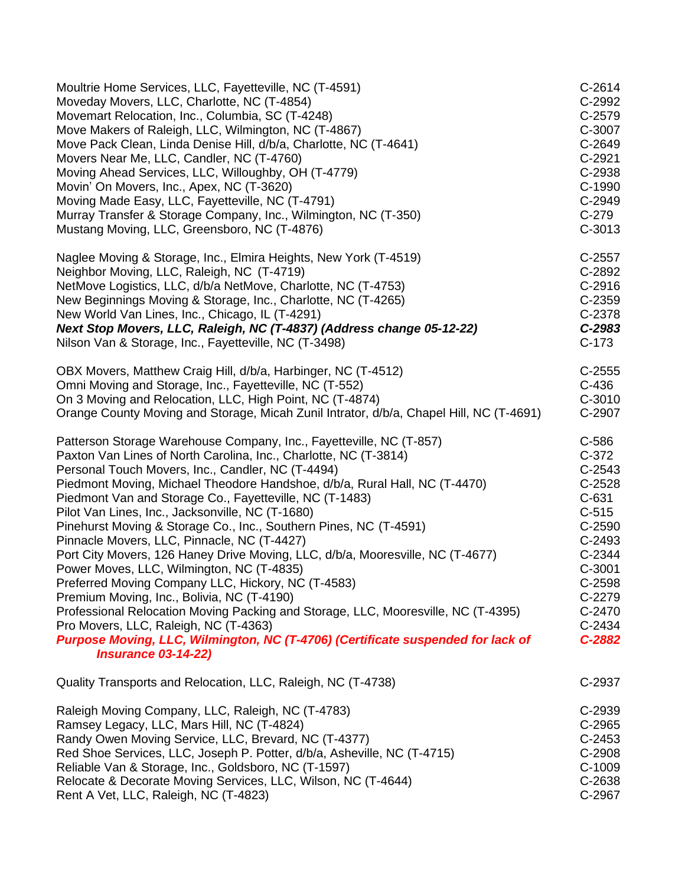| Moultrie Home Services, LLC, Fayetteville, NC (T-4591)                                                                                                                                                                                                                                                                                                                                                                                                                                                                                                                                                                                                                                                                                                                                                                                                                                                                                                                                          | $C-2614$                                                                                                                                                       |
|-------------------------------------------------------------------------------------------------------------------------------------------------------------------------------------------------------------------------------------------------------------------------------------------------------------------------------------------------------------------------------------------------------------------------------------------------------------------------------------------------------------------------------------------------------------------------------------------------------------------------------------------------------------------------------------------------------------------------------------------------------------------------------------------------------------------------------------------------------------------------------------------------------------------------------------------------------------------------------------------------|----------------------------------------------------------------------------------------------------------------------------------------------------------------|
| Moveday Movers, LLC, Charlotte, NC (T-4854)                                                                                                                                                                                                                                                                                                                                                                                                                                                                                                                                                                                                                                                                                                                                                                                                                                                                                                                                                     | C-2992                                                                                                                                                         |
| Movemart Relocation, Inc., Columbia, SC (T-4248)                                                                                                                                                                                                                                                                                                                                                                                                                                                                                                                                                                                                                                                                                                                                                                                                                                                                                                                                                | C-2579                                                                                                                                                         |
| Move Makers of Raleigh, LLC, Wilmington, NC (T-4867)                                                                                                                                                                                                                                                                                                                                                                                                                                                                                                                                                                                                                                                                                                                                                                                                                                                                                                                                            | C-3007                                                                                                                                                         |
| Move Pack Clean, Linda Denise Hill, d/b/a, Charlotte, NC (T-4641)                                                                                                                                                                                                                                                                                                                                                                                                                                                                                                                                                                                                                                                                                                                                                                                                                                                                                                                               | C-2649                                                                                                                                                         |
| Movers Near Me, LLC, Candler, NC (T-4760)                                                                                                                                                                                                                                                                                                                                                                                                                                                                                                                                                                                                                                                                                                                                                                                                                                                                                                                                                       | $C-2921$                                                                                                                                                       |
| Moving Ahead Services, LLC, Willoughby, OH (T-4779)                                                                                                                                                                                                                                                                                                                                                                                                                                                                                                                                                                                                                                                                                                                                                                                                                                                                                                                                             | C-2938                                                                                                                                                         |
| Movin' On Movers, Inc., Apex, NC (T-3620)                                                                                                                                                                                                                                                                                                                                                                                                                                                                                                                                                                                                                                                                                                                                                                                                                                                                                                                                                       | C-1990                                                                                                                                                         |
| Moving Made Easy, LLC, Fayetteville, NC (T-4791)                                                                                                                                                                                                                                                                                                                                                                                                                                                                                                                                                                                                                                                                                                                                                                                                                                                                                                                                                | C-2949                                                                                                                                                         |
| Murray Transfer & Storage Company, Inc., Wilmington, NC (T-350)                                                                                                                                                                                                                                                                                                                                                                                                                                                                                                                                                                                                                                                                                                                                                                                                                                                                                                                                 | $C-279$                                                                                                                                                        |
| Mustang Moving, LLC, Greensboro, NC (T-4876)                                                                                                                                                                                                                                                                                                                                                                                                                                                                                                                                                                                                                                                                                                                                                                                                                                                                                                                                                    | $C-3013$                                                                                                                                                       |
| Naglee Moving & Storage, Inc., Elmira Heights, New York (T-4519)                                                                                                                                                                                                                                                                                                                                                                                                                                                                                                                                                                                                                                                                                                                                                                                                                                                                                                                                | C-2557                                                                                                                                                         |
| Neighbor Moving, LLC, Raleigh, NC (T-4719)                                                                                                                                                                                                                                                                                                                                                                                                                                                                                                                                                                                                                                                                                                                                                                                                                                                                                                                                                      | C-2892                                                                                                                                                         |
| NetMove Logistics, LLC, d/b/a NetMove, Charlotte, NC (T-4753)                                                                                                                                                                                                                                                                                                                                                                                                                                                                                                                                                                                                                                                                                                                                                                                                                                                                                                                                   | C-2916                                                                                                                                                         |
| New Beginnings Moving & Storage, Inc., Charlotte, NC (T-4265)                                                                                                                                                                                                                                                                                                                                                                                                                                                                                                                                                                                                                                                                                                                                                                                                                                                                                                                                   | $C-2359$                                                                                                                                                       |
| New World Van Lines, Inc., Chicago, IL (T-4291)                                                                                                                                                                                                                                                                                                                                                                                                                                                                                                                                                                                                                                                                                                                                                                                                                                                                                                                                                 | C-2378                                                                                                                                                         |
| Next Stop Movers, LLC, Raleigh, NC (T-4837) (Address change 05-12-22)                                                                                                                                                                                                                                                                                                                                                                                                                                                                                                                                                                                                                                                                                                                                                                                                                                                                                                                           | C-2983                                                                                                                                                         |
| Nilson Van & Storage, Inc., Fayetteville, NC (T-3498)                                                                                                                                                                                                                                                                                                                                                                                                                                                                                                                                                                                                                                                                                                                                                                                                                                                                                                                                           | $C-173$                                                                                                                                                        |
| OBX Movers, Matthew Craig Hill, d/b/a, Harbinger, NC (T-4512)                                                                                                                                                                                                                                                                                                                                                                                                                                                                                                                                                                                                                                                                                                                                                                                                                                                                                                                                   | $C-2555$                                                                                                                                                       |
| Omni Moving and Storage, Inc., Fayetteville, NC (T-552)                                                                                                                                                                                                                                                                                                                                                                                                                                                                                                                                                                                                                                                                                                                                                                                                                                                                                                                                         | $C-436$                                                                                                                                                        |
| On 3 Moving and Relocation, LLC, High Point, NC (T-4874)                                                                                                                                                                                                                                                                                                                                                                                                                                                                                                                                                                                                                                                                                                                                                                                                                                                                                                                                        | C-3010                                                                                                                                                         |
| Orange County Moving and Storage, Micah Zunil Intrator, d/b/a, Chapel Hill, NC (T-4691)                                                                                                                                                                                                                                                                                                                                                                                                                                                                                                                                                                                                                                                                                                                                                                                                                                                                                                         | C-2907                                                                                                                                                         |
| Patterson Storage Warehouse Company, Inc., Fayetteville, NC (T-857)<br>Paxton Van Lines of North Carolina, Inc., Charlotte, NC (T-3814)<br>Personal Touch Movers, Inc., Candler, NC (T-4494)<br>Piedmont Moving, Michael Theodore Handshoe, d/b/a, Rural Hall, NC (T-4470)<br>Piedmont Van and Storage Co., Fayetteville, NC (T-1483)<br>Pilot Van Lines, Inc., Jacksonville, NC (T-1680)<br>Pinehurst Moving & Storage Co., Inc., Southern Pines, NC (T-4591)<br>Pinnacle Movers, LLC, Pinnacle, NC (T-4427)<br>Port City Movers, 126 Haney Drive Moving, LLC, d/b/a, Mooresville, NC (T-4677)<br>Power Moves, LLC, Wilmington, NC (T-4835)<br>Preferred Moving Company LLC, Hickory, NC (T-4583)<br>Premium Moving, Inc., Bolivia, NC (T-4190)<br>Professional Relocation Moving Packing and Storage, LLC, Mooresville, NC (T-4395)<br>Pro Movers, LLC, Raleigh, NC (T-4363)<br>Purpose Moving, LLC, Wilmington, NC (T-4706) (Certificate suspended for lack of<br><b>Insurance 03-14-22)</b> | C-586<br>$C-372$<br>$C-2543$<br>$C-2528$<br>$C-631$<br>$C-515$<br>$C-2590$<br>$C-2493$<br>C-2344<br>$C-3001$<br>C-2598<br>C-2279<br>C-2470<br>C-2434<br>C-2882 |
| Quality Transports and Relocation, LLC, Raleigh, NC (T-4738)                                                                                                                                                                                                                                                                                                                                                                                                                                                                                                                                                                                                                                                                                                                                                                                                                                                                                                                                    | C-2937                                                                                                                                                         |
| Raleigh Moving Company, LLC, Raleigh, NC (T-4783)                                                                                                                                                                                                                                                                                                                                                                                                                                                                                                                                                                                                                                                                                                                                                                                                                                                                                                                                               | C-2939                                                                                                                                                         |
| Ramsey Legacy, LLC, Mars Hill, NC (T-4824)                                                                                                                                                                                                                                                                                                                                                                                                                                                                                                                                                                                                                                                                                                                                                                                                                                                                                                                                                      | C-2965                                                                                                                                                         |
| Randy Owen Moving Service, LLC, Brevard, NC (T-4377)                                                                                                                                                                                                                                                                                                                                                                                                                                                                                                                                                                                                                                                                                                                                                                                                                                                                                                                                            | $C-2453$                                                                                                                                                       |
| Red Shoe Services, LLC, Joseph P. Potter, d/b/a, Asheville, NC (T-4715)                                                                                                                                                                                                                                                                                                                                                                                                                                                                                                                                                                                                                                                                                                                                                                                                                                                                                                                         | C-2908                                                                                                                                                         |
| Reliable Van & Storage, Inc., Goldsboro, NC (T-1597)                                                                                                                                                                                                                                                                                                                                                                                                                                                                                                                                                                                                                                                                                                                                                                                                                                                                                                                                            | C-1009                                                                                                                                                         |
| Relocate & Decorate Moving Services, LLC, Wilson, NC (T-4644)                                                                                                                                                                                                                                                                                                                                                                                                                                                                                                                                                                                                                                                                                                                                                                                                                                                                                                                                   | C-2638                                                                                                                                                         |
| Rent A Vet, LLC, Raleigh, NC (T-4823)                                                                                                                                                                                                                                                                                                                                                                                                                                                                                                                                                                                                                                                                                                                                                                                                                                                                                                                                                           | C-2967                                                                                                                                                         |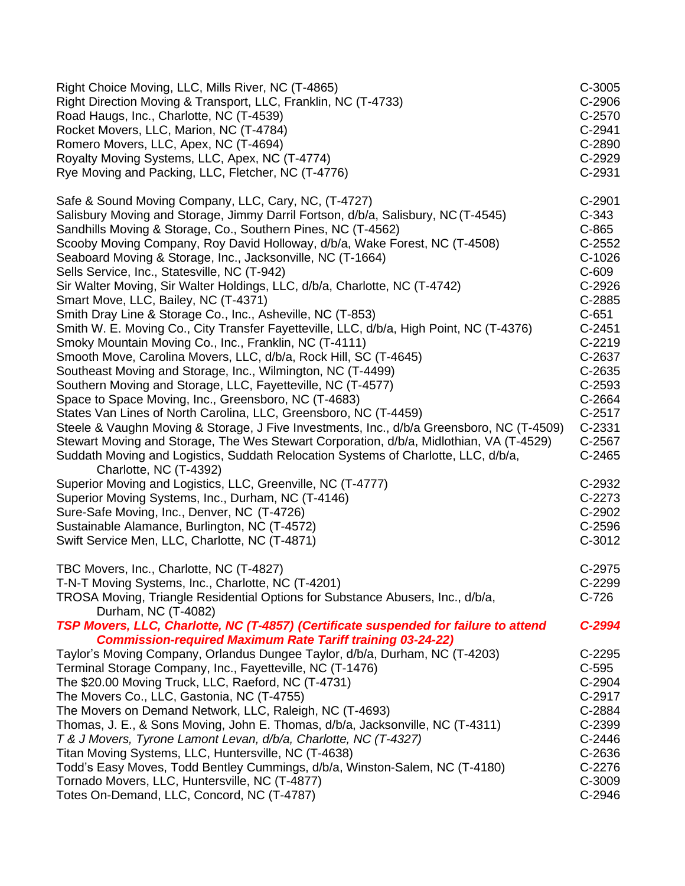| Right Choice Moving, LLC, Mills River, NC (T-4865)<br>Right Direction Moving & Transport, LLC, Franklin, NC (T-4733)<br>Road Haugs, Inc., Charlotte, NC (T-4539)<br>Rocket Movers, LLC, Marion, NC (T-4784)<br>Romero Movers, LLC, Apex, NC (T-4694)<br>Royalty Moving Systems, LLC, Apex, NC (T-4774)<br>Rye Moving and Packing, LLC, Fletcher, NC (T-4776) | C-3005<br>C-2906<br>C-2570<br>C-2941<br>C-2890<br>C-2929<br>C-2931 |
|--------------------------------------------------------------------------------------------------------------------------------------------------------------------------------------------------------------------------------------------------------------------------------------------------------------------------------------------------------------|--------------------------------------------------------------------|
| Safe & Sound Moving Company, LLC, Cary, NC, (T-4727)<br>Salisbury Moving and Storage, Jimmy Darril Fortson, d/b/a, Salisbury, NC (T-4545)                                                                                                                                                                                                                    | C-2901<br>$C-343$                                                  |
| Sandhills Moving & Storage, Co., Southern Pines, NC (T-4562)                                                                                                                                                                                                                                                                                                 | C-865                                                              |
| Scooby Moving Company, Roy David Holloway, d/b/a, Wake Forest, NC (T-4508)                                                                                                                                                                                                                                                                                   | $C-2552$                                                           |
| Seaboard Moving & Storage, Inc., Jacksonville, NC (T-1664)                                                                                                                                                                                                                                                                                                   | $C-1026$                                                           |
| Sells Service, Inc., Statesville, NC (T-942)                                                                                                                                                                                                                                                                                                                 | $C-609$                                                            |
| Sir Walter Moving, Sir Walter Holdings, LLC, d/b/a, Charlotte, NC (T-4742)<br>Smart Move, LLC, Bailey, NC (T-4371)                                                                                                                                                                                                                                           | C-2926<br>C-2885                                                   |
| Smith Dray Line & Storage Co., Inc., Asheville, NC (T-853)                                                                                                                                                                                                                                                                                                   | $C-651$                                                            |
| Smith W. E. Moving Co., City Transfer Fayetteville, LLC, d/b/a, High Point, NC (T-4376)                                                                                                                                                                                                                                                                      | $C-2451$                                                           |
| Smoky Mountain Moving Co., Inc., Franklin, NC (T-4111)                                                                                                                                                                                                                                                                                                       | $C-2219$                                                           |
| Smooth Move, Carolina Movers, LLC, d/b/a, Rock Hill, SC (T-4645)                                                                                                                                                                                                                                                                                             | C-2637                                                             |
| Southeast Moving and Storage, Inc., Wilmington, NC (T-4499)                                                                                                                                                                                                                                                                                                  | $C-2635$                                                           |
| Southern Moving and Storage, LLC, Fayetteville, NC (T-4577)                                                                                                                                                                                                                                                                                                  | C-2593                                                             |
| Space to Space Moving, Inc., Greensboro, NC (T-4683)                                                                                                                                                                                                                                                                                                         | C-2664                                                             |
| States Van Lines of North Carolina, LLC, Greensboro, NC (T-4459)<br>Steele & Vaughn Moving & Storage, J Five Investments, Inc., d/b/a Greensboro, NC (T-4509)                                                                                                                                                                                                | C-2517<br>$C-2331$                                                 |
| Stewart Moving and Storage, The Wes Stewart Corporation, d/b/a, Midlothian, VA (T-4529)                                                                                                                                                                                                                                                                      | C-2567                                                             |
| Suddath Moving and Logistics, Suddath Relocation Systems of Charlotte, LLC, d/b/a,<br>Charlotte, NC (T-4392)                                                                                                                                                                                                                                                 | $C-2465$                                                           |
| Superior Moving and Logistics, LLC, Greenville, NC (T-4777)                                                                                                                                                                                                                                                                                                  | C-2932                                                             |
| Superior Moving Systems, Inc., Durham, NC (T-4146)                                                                                                                                                                                                                                                                                                           | $C-2273$                                                           |
| Sure-Safe Moving, Inc., Denver, NC (T-4726)                                                                                                                                                                                                                                                                                                                  | C-2902                                                             |
| Sustainable Alamance, Burlington, NC (T-4572)                                                                                                                                                                                                                                                                                                                | C-2596                                                             |
| Swift Service Men, LLC, Charlotte, NC (T-4871)                                                                                                                                                                                                                                                                                                               | $C-3012$                                                           |
| TBC Movers, Inc., Charlotte, NC (T-4827)                                                                                                                                                                                                                                                                                                                     | C-2975                                                             |
| T-N-T Moving Systems, Inc., Charlotte, NC (T-4201)                                                                                                                                                                                                                                                                                                           | $C-2299$                                                           |
| TROSA Moving, Triangle Residential Options for Substance Abusers, Inc., d/b/a,<br>Durham, NC (T-4082)                                                                                                                                                                                                                                                        | $C-726$                                                            |
| TSP Movers, LLC, Charlotte, NC (T-4857) (Certificate suspended for failure to attend                                                                                                                                                                                                                                                                         | $C-2994$                                                           |
| <b>Commission-required Maximum Rate Tariff training 03-24-22)</b>                                                                                                                                                                                                                                                                                            |                                                                    |
| Taylor's Moving Company, Orlandus Dungee Taylor, d/b/a, Durham, NC (T-4203)<br>Terminal Storage Company, Inc., Fayetteville, NC (T-1476)                                                                                                                                                                                                                     | C-2295<br>$C-595$                                                  |
| The \$20.00 Moving Truck, LLC, Raeford, NC (T-4731)                                                                                                                                                                                                                                                                                                          | C-2904                                                             |
| The Movers Co., LLC, Gastonia, NC (T-4755)                                                                                                                                                                                                                                                                                                                   | C-2917                                                             |
| The Movers on Demand Network, LLC, Raleigh, NC (T-4693)                                                                                                                                                                                                                                                                                                      | C-2884                                                             |
| Thomas, J. E., & Sons Moving, John E. Thomas, d/b/a, Jacksonville, NC (T-4311)                                                                                                                                                                                                                                                                               | C-2399                                                             |
| T & J Movers, Tyrone Lamont Levan, d/b/a, Charlotte, NC (T-4327)                                                                                                                                                                                                                                                                                             | $C-2446$                                                           |
| Titan Moving Systems, LLC, Huntersville, NC (T-4638)                                                                                                                                                                                                                                                                                                         | C-2636                                                             |
| Todd's Easy Moves, Todd Bentley Cummings, d/b/a, Winston-Salem, NC (T-4180)                                                                                                                                                                                                                                                                                  | $C-2276$                                                           |
| Tornado Movers, LLC, Huntersville, NC (T-4877)<br>Totes On-Demand, LLC, Concord, NC (T-4787)                                                                                                                                                                                                                                                                 | C-3009<br>C-2946                                                   |
|                                                                                                                                                                                                                                                                                                                                                              |                                                                    |